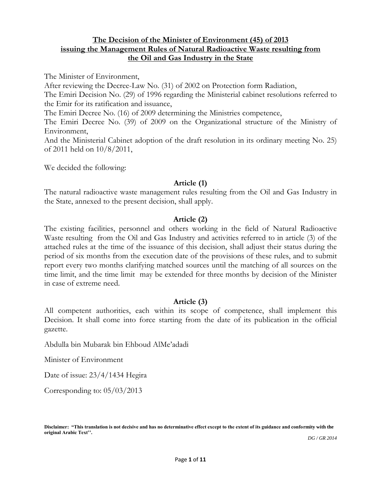### **The Decision of the Minister of Environment (45) of 2013 issuing the Management Rules of Natural Radioactive Waste resulting from the Oil and Gas Industry in the State**

The Minister of Environment,

After reviewing the Decree-Law No. (31) of 2002 on Protection form Radiation,

The Emiri Decision No. (29) of 1996 regarding the Ministerial cabinet resolutions referred to the Emir for its ratification and issuance,

The Emiri Decree No. (16) of 2009 determining the Ministries competence,

The Emiri Decree No. (39) of 2009 on the Organizational structure of the Ministry of Environment,

And the Ministerial Cabinet adoption of the draft resolution in its ordinary meeting No. 25) of 2011 held on 10/8/2011,

We decided the following:

#### **Article (1)**

The natural radioactive waste management rules resulting from the Oil and Gas Industry in the State, annexed to the present decision, shall apply.

#### **Article (2)**

The existing facilities, personnel and others working in the field of Natural Radioactive Waste resulting from the Oil and Gas Industry and activities referred to in article (3) of the attached rules at the time of the issuance of this decision, shall adjust their status during the period of six months from the execution date of the provisions of these rules, and to submit report every two months clarifying matched sources until the matching of all sources on the time limit, and the time limit may be extended for three months by decision of the Minister in case of extreme need.

### **Article (3)**

All competent authorities, each within its scope of competence, shall implement this Decision. It shall come into force starting from the date of its publication in the official gazette.

Abdulla bin Mubarak bin Ehboud AlMe'adadi

Minister of Environment

Date of issue: 23/4/1434 Hegira

Corresponding to: 05/03/2013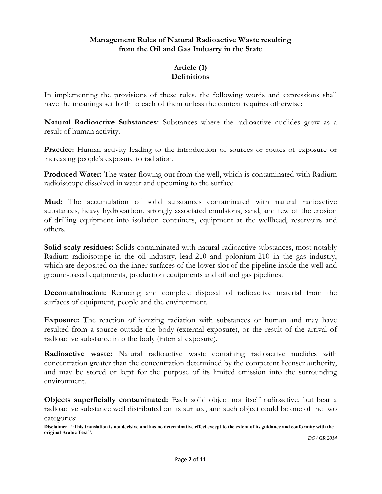# **Management Rules of Natural Radioactive Waste resulting from the Oil and Gas Industry in the State**

# **Article (1) Definitions**

In implementing the provisions of these rules, the following words and expressions shall have the meanings set forth to each of them unless the context requires otherwise:

**Natural Radioactive Substances:** Substances where the radioactive nuclides grow as a result of human activity.

**Practice:** Human activity leading to the introduction of sources or routes of exposure or increasing people's exposure to radiation.

**Produced Water:** The water flowing out from the well, which is contaminated with Radium radioisotope dissolved in water and upcoming to the surface.

**Mud:** The accumulation of solid substances contaminated with natural radioactive substances, heavy hydrocarbon, strongly associated emulsions, sand, and few of the erosion of drilling equipment into isolation containers, equipment at the wellhead, reservoirs and others.

**Solid scaly residues:** Solids contaminated with natural radioactive substances, most notably Radium radioisotope in the oil industry, lead-210 and polonium-210 in the gas industry, which are deposited on the inner surfaces of the lower slot of the pipeline inside the well and ground-based equipments, production equipments and oil and gas pipelines.

**Decontamination:** Reducing and complete disposal of radioactive material from the surfaces of equipment, people and the environment.

**Exposure:** The reaction of ionizing radiation with substances or human and may have resulted from a source outside the body (external exposure), or the result of the arrival of radioactive substance into the body (internal exposure).

**Radioactive waste:** Natural radioactive waste containing radioactive nuclides with concentration greater than the concentration determined by the competent licenser authority, and may be stored or kept for the purpose of its limited emission into the surrounding environment.

**Objects superficially contaminated:** Each solid object not itself radioactive, but bear a radioactive substance well distributed on its surface, and such object could be one of the two categories:

**Disclaimer: "This translation is not decisive and has no determinative effect except to the extent of its guidance and conformity with the original Arabic Text''.**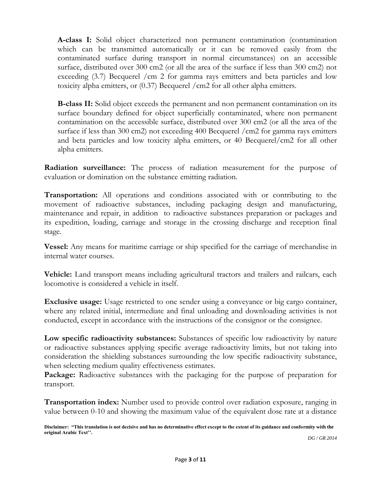**A-class I:** Solid object characterized non permanent contamination (contamination which can be transmitted automatically or it can be removed easily from the contaminated surface during transport in normal circumstances) on an accessible surface, distributed over 300 cm2 (or all the area of the surface if less than 300 cm2) not exceeding (3.7) Becquerel /cm 2 for gamma rays emitters and beta particles and low toxicity alpha emitters, or (0.37) Becquerel /cm2 for all other alpha emitters.

**B-class II:** Solid object exceeds the permanent and non permanent contamination on its surface boundary defined for object superficially contaminated, where non permanent contamination on the accessible surface, distributed over 300 cm2 (or all the area of the surface if less than 300 cm2) not exceeding 400 Becquerel /cm2 for gamma rays emitters and beta particles and low toxicity alpha emitters, or 40 Becquerel/cm2 for all other alpha emitters.

**Radiation surveillance:** The process of radiation measurement for the purpose of evaluation or domination on the substance emitting radiation.

**Transportation:** All operations and conditions associated with or contributing to the movement of radioactive substances, including packaging design and manufacturing, maintenance and repair, in addition to radioactive substances preparation or packages and its expedition, loading, carriage and storage in the crossing discharge and reception final stage.

**Vessel:** Any means for maritime carriage or ship specified for the carriage of merchandise in internal water courses.

**Vehicle:** Land transport means including agricultural tractors and trailers and railcars, each locomotive is considered a vehicle in itself.

**Exclusive usage:** Usage restricted to one sender using a conveyance or big cargo container, where any related initial, intermediate and final unloading and downloading activities is not conducted, except in accordance with the instructions of the consignor or the consignee.

**Low specific radioactivity substances:** Substances of specific low radioactivity by nature or radioactive substances applying specific average radioactivity limits, but not taking into consideration the shielding substances surrounding the low specific radioactivity substance, when selecting medium quality effectiveness estimates.

Package: Radioactive substances with the packaging for the purpose of preparation for transport.

**Transportation index:** Number used to provide control over radiation exposure, ranging in value between 0-10 and showing the maximum value of the equivalent dose rate at a distance

**Disclaimer: "This translation is not decisive and has no determinative effect except to the extent of its guidance and conformity with the original Arabic Text''.**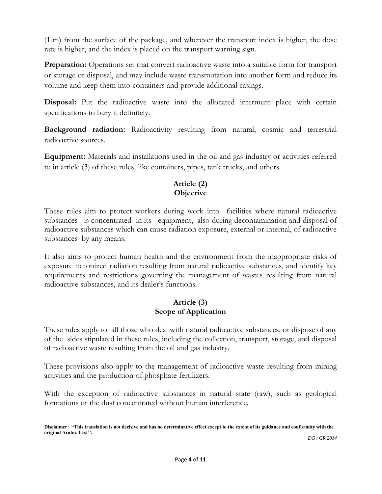(1 m) from the surface of the package, and wherever the transport index is higher, the dose rate is higher, and the index is placed on the transport warning sign.

**Preparation:** Operations set that convert radioactive waste into a suitable form for transport or storage or disposal, and may include waste transmutation into another form and reduce its volume and keep them into containers and provide additional casings.

**Disposal:** Put the radioactive waste into the allocated interment place with certain specifications to bury it definitely.

**Background radiation:** Radioactivity resulting from natural, cosmic and terrestrial radioactive sources.

**Equipment:** Materials and installations used in the oil and gas industry or activities referred to in article (3) of these rules like containers, pipes, tank trucks, and others.

# **Article (2) Objective**

These rules aim to protect workers during work into facilities where natural radioactive substances is concentrated in its equipment, also during decontamination and disposal of radioactive substances which can cause radiation exposure, external or internal, of radioactive substances by any means.

It also aims to protect human health and the environment from the inappropriate risks of exposure to ionized radiation resulting from natural radioactive substances, and identify key requirements and restrictions governing the management of wastes resulting from natural radioactive substances, and its dealer's functions.

## **Article (3) Scope of Application**

These rules apply to all those who deal with natural radioactive substances, or dispose of any of the sides stipulated in these rules, including the collection, transport, storage, and disposal of radioactive waste resulting from the oil and gas industry.

These provisions also apply to the management of radioactive waste resulting from mining activities and the production of phosphate fertilizers.

With the exception of radioactive substances in natural state (raw), such as geological formations or the dust concentrated without human interference.

**Disclaimer: "This translation is not decisive and has no determinative effect except to the extent of its guidance and conformity with the original Arabic Text''.**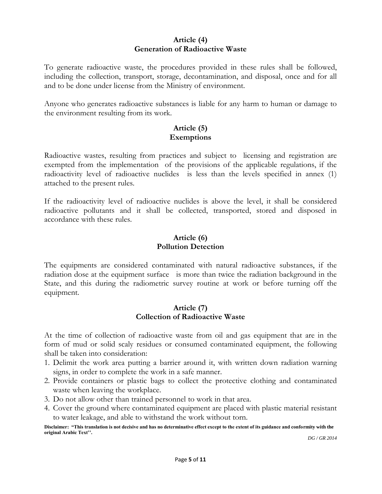### **Article (4) Generation of Radioactive Waste**

To generate radioactive waste, the procedures provided in these rules shall be followed, including the collection, transport, storage, decontamination, and disposal, once and for all and to be done under license from the Ministry of environment.

Anyone who generates radioactive substances is liable for any harm to human or damage to the environment resulting from its work.

## **Article (5) Exemptions**

Radioactive wastes, resulting from practices and subject to licensing and registration are exempted from the implementation of the provisions of the applicable regulations, if the radioactivity level of radioactive nuclides is less than the levels specified in annex (1) attached to the present rules.

If the radioactivity level of radioactive nuclides is above the level, it shall be considered radioactive pollutants and it shall be collected, transported, stored and disposed in accordance with these rules.

# **Article (6) Pollution Detection**

The equipments are considered contaminated with natural radioactive substances, if the radiation dose at the equipment surface is more than twice the radiation background in the State, and this during the radiometric survey routine at work or before turning off the equipment.

## **Article (7) Collection of Radioactive Waste**

At the time of collection of radioactive waste from oil and gas equipment that are in the form of mud or solid scaly residues or consumed contaminated equipment, the following shall be taken into consideration:

- 1. Delimit the work area putting a barrier around it, with written down radiation warning signs, in order to complete the work in a safe manner.
- 2. Provide containers or plastic bags to collect the protective clothing and contaminated waste when leaving the workplace.
- 3. Do not allow other than trained personnel to work in that area.
- 4. Cover the ground where contaminated equipment are placed with plastic material resistant to water leakage, and able to withstand the work without torn.

**Disclaimer: "This translation is not decisive and has no determinative effect except to the extent of its guidance and conformity with the original Arabic Text''.**  *DG / GR 2014*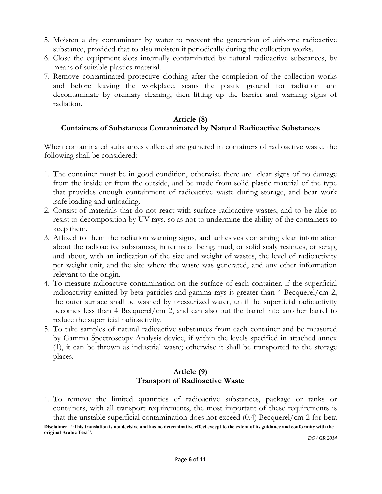- 5. Moisten a dry contaminant by water to prevent the generation of airborne radioactive substance, provided that to also moisten it periodically during the collection works.
- 6. Close the equipment slots internally contaminated by natural radioactive substances, by means of suitable plastics material.
- 7. Remove contaminated protective clothing after the completion of the collection works and before leaving the workplace, scans the plastic ground for radiation and decontaminate by ordinary cleaning, then lifting up the barrier and warning signs of radiation.

#### **Article (8) Containers of Substances Contaminated by Natural Radioactive Substances**

When contaminated substances collected are gathered in containers of radioactive waste, the following shall be considered:

- 1. The container must be in good condition, otherwise there are clear signs of no damage from the inside or from the outside, and be made from solid plastic material of the type that provides enough containment of radioactive waste during storage, and bear work ,safe loading and unloading.
- 2. Consist of materials that do not react with surface radioactive wastes, and to be able to resist to decomposition by UV rays, so as not to undermine the ability of the containers to keep them.
- 3. Affixed to them the radiation warning signs, and adhesives containing clear information about the radioactive substances, in terms of being, mud, or solid scaly residues, or scrap, and about, with an indication of the size and weight of wastes, the level of radioactivity per weight unit, and the site where the waste was generated, and any other information relevant to the origin.
- 4. To measure radioactive contamination on the surface of each container, if the superficial radioactivity emitted by beta particles and gamma rays is greater than 4 Becquerel/cm 2, the outer surface shall be washed by pressurized water, until the superficial radioactivity becomes less than 4 Becquerel/cm 2, and can also put the barrel into another barrel to reduce the superficial radioactivity.
- 5. To take samples of natural radioactive substances from each container and be measured by Gamma Spectroscopy Analysis device, if within the levels specified in attached annex (1), it can be thrown as industrial waste; otherwise it shall be transported to the storage places.

### **Article (9) Transport of Radioactive Waste**

1. To remove the limited quantities of radioactive substances, package or tanks or containers, with all transport requirements, the most important of these requirements is that the unstable superficial contamination does not exceed (0.4) Becquerel/cm 2 for beta

**Disclaimer: "This translation is not decisive and has no determinative effect except to the extent of its guidance and conformity with the original Arabic Text''.**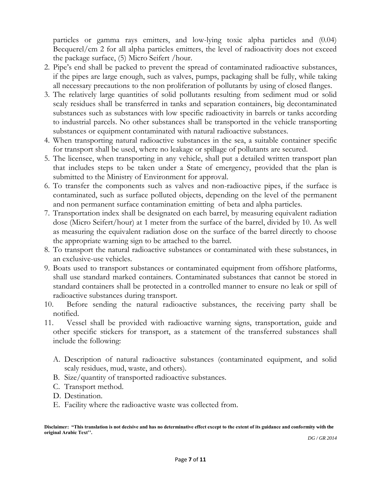particles or gamma rays emitters, and low-lying toxic alpha particles and (0.04) Becquerel/cm 2 for all alpha particles emitters, the level of radioactivity does not exceed the package surface, (5) Micro Seifert /hour.

- 2. Pipe's end shall be packed to prevent the spread of contaminated radioactive substances, if the pipes are large enough, such as valves, pumps, packaging shall be fully, while taking all necessary precautions to the non proliferation of pollutants by using of closed flanges.
- 3. The relatively large quantities of solid pollutants resulting from sediment mud or solid scaly residues shall be transferred in tanks and separation containers, big decontaminated substances such as substances with low specific radioactivity in barrels or tanks according to industrial parcels. No other substances shall be transported in the vehicle transporting substances or equipment contaminated with natural radioactive substances.
- 4. When transporting natural radioactive substances in the sea, a suitable container specific for transport shall be used, where no leakage or spillage of pollutants are secured.
- 5. The licensee, when transporting in any vehicle, shall put a detailed written transport plan that includes steps to be taken under a State of emergency, provided that the plan is submitted to the Ministry of Environment for approval.
- 6. To transfer the components such as valves and non-radioactive pipes, if the surface is contaminated, such as surface polluted objects, depending on the level of the permanent and non permanent surface contamination emitting of beta and alpha particles.
- 7. Transportation index shall be designated on each barrel, by measuring equivalent radiation dose (Micro Seifert/hour) at 1 meter from the surface of the barrel, divided by 10. As well as measuring the equivalent radiation dose on the surface of the barrel directly to choose the appropriate warning sign to be attached to the barrel.
- 8. To transport the natural radioactive substances or contaminated with these substances, in an exclusive-use vehicles.
- 9. Boats used to transport substances or contaminated equipment from offshore platforms, shall use standard marked containers. Contaminated substances that cannot be stored in standard containers shall be protected in a controlled manner to ensure no leak or spill of radioactive substances during transport.
- 10. Before sending the natural radioactive substances, the receiving party shall be notified.
- 11. Vessel shall be provided with radioactive warning signs, transportation, guide and other specific stickers for transport, as a statement of the transferred substances shall include the following:
	- A. Description of natural radioactive substances (contaminated equipment, and solid scaly residues, mud, waste, and others).
	- B. Size/quantity of transported radioactive substances.
	- C. Transport method.
	- D. Destination.
	- E. Facility where the radioactive waste was collected from.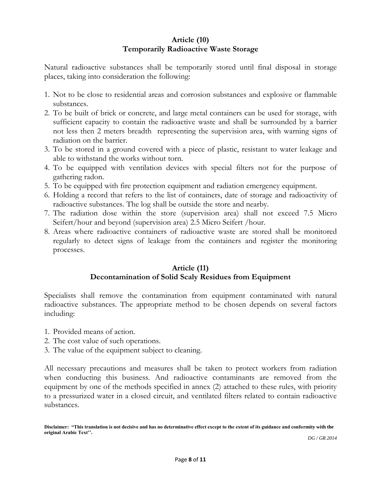# **Article (10) Temporarily Radioactive Waste Storage**

Natural radioactive substances shall be temporarily stored until final disposal in storage places, taking into consideration the following:

- 1. Not to be close to residential areas and corrosion substances and explosive or flammable substances.
- 2. To be built of brick or concrete, and large metal containers can be used for storage, with sufficient capacity to contain the radioactive waste and shall be surrounded by a barrier not less then 2 meters breadth representing the supervision area, with warning signs of radiation on the barrier.
- 3. To be stored in a ground covered with a piece of plastic, resistant to water leakage and able to withstand the works without torn.
- 4. To be equipped with ventilation devices with special filters not for the purpose of gathering radon.
- 5. To be equipped with fire protection equipment and radiation emergency equipment.
- 6. Holding a record that refers to the list of containers, date of storage and radioactivity of radioactive substances. The log shall be outside the store and nearby.
- 7. The radiation dose within the store (supervision area) shall not exceed 7.5 Micro Seifert/hour and beyond (supervision area) 2.5 Micro Seifert /hour.
- 8. Areas where radioactive containers of radioactive waste are stored shall be monitored regularly to detect signs of leakage from the containers and register the monitoring processes.

## **Article (11) Decontamination of Solid Scaly Residues from Equipment**

Specialists shall remove the contamination from equipment contaminated with natural radioactive substances. The appropriate method to be chosen depends on several factors including:

- 1. Provided means of action.
- 2. The cost value of such operations.
- 3. The value of the equipment subject to cleaning.

All necessary precautions and measures shall be taken to protect workers from radiation when conducting this business. And radioactive contaminants are removed from the equipment by one of the methods specified in annex (2) attached to these rules, with priority to a pressurized water in a closed circuit, and ventilated filters related to contain radioactive substances.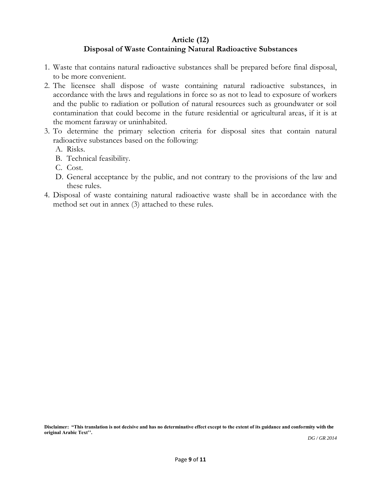### **Article (12)**

### **Disposal of Waste Containing Natural Radioactive Substances**

- 1. Waste that contains natural radioactive substances shall be prepared before final disposal, to be more convenient.
- 2. The licensee shall dispose of waste containing natural radioactive substances, in accordance with the laws and regulations in force so as not to lead to exposure of workers and the public to radiation or pollution of natural resources such as groundwater or soil contamination that could become in the future residential or agricultural areas, if it is at the moment faraway or uninhabited.
- 3. To determine the primary selection criteria for disposal sites that contain natural radioactive substances based on the following:
	- A. Risks.
	- B. Technical feasibility.
	- C. Cost.
	- D. General acceptance by the public, and not contrary to the provisions of the law and these rules.
- 4. Disposal of waste containing natural radioactive waste shall be in accordance with the method set out in annex (3) attached to these rules.

**Disclaimer: "This translation is not decisive and has no determinative effect except to the extent of its guidance and conformity with the original Arabic Text''.**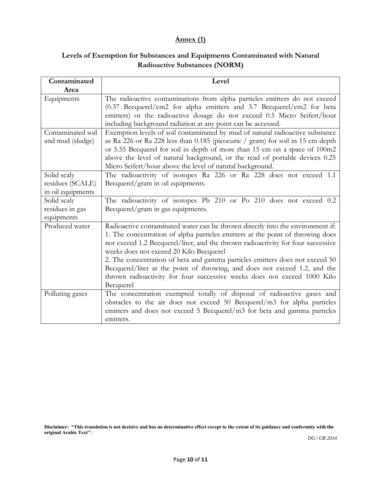## **Annex (1)**

# **Levels of Exemption for Substances and Equipments Contaminated with Natural Radioactive Substances (NORM)**

| Contaminated                                         | Level                                                                                                                                                                                                                                                                                                                                                                                                                                                                                                                                                  |
|------------------------------------------------------|--------------------------------------------------------------------------------------------------------------------------------------------------------------------------------------------------------------------------------------------------------------------------------------------------------------------------------------------------------------------------------------------------------------------------------------------------------------------------------------------------------------------------------------------------------|
| Area                                                 |                                                                                                                                                                                                                                                                                                                                                                                                                                                                                                                                                        |
| Equipments                                           | The radioactive contaminations from alpha particles emitters do not exceed<br>(0.37 Becquerel/cm2 for alpha emitters and 3.7 Becquerel/cm2 for beta<br>emitters) or the radioactive dosage do not exceed 0.5 Micro Seifert/hour<br>including background radiation at any point can be accessed.                                                                                                                                                                                                                                                        |
| Contaminated soil<br>and mud (sludge)                | Exemption levels of soil contaminated by mud of natural radioactive substance<br>as Ra 226 or Ra 228 less than 0.185 (picocurie / gram) for soil in 15 cm depth<br>or 5.55 Becquerel for soil in depth of more than 15 cm on a space of 100m2<br>above the level of natural background, or the read of portable devices 0.25<br>Micro Seifert/hour above the level of natural background.                                                                                                                                                              |
| Solid scaly<br>residues (SCALE)<br>in oil equipments | The radioactivity of isotopes Ra 226 or Ra 228 does not exceed 1.1<br>Becquerel/gram in oil equipments.                                                                                                                                                                                                                                                                                                                                                                                                                                                |
| Solid scaly<br>residues in gas<br>equipments         | The radioactivity of isotopes Pb 210 or Po 210 does not exceed 0.2<br>Becquerel/gram in gas equipments.                                                                                                                                                                                                                                                                                                                                                                                                                                                |
| Produced water                                       | Radioactive contaminated water can be thrown directly into the environment if:<br>1. The concentration of alpha particles emitters at the point of throwing does<br>not exceed 1.2 Becquerel/liter, and the thrown radioactivity for four successive<br>weeks does not exceed 20 Kilo Becquerel<br>2. The concentration of beta and gamma particles emitters does not exceed 50<br>Becquerel/liter at the point of throwing, and does not exceed 1.2, and the<br>thrown radioactivity for four successive weeks does not exceed 1000 Kilo<br>Becquerel |
| Polluting gases                                      | The concentration exempted totally of disposal of radioactive gases and<br>obstacles to the air does not exceed 50 Becquerel/m3 for alpha particles<br>emitters and does not exceed 5 Becquerel/m3 for beta and gamma particles<br>emitters.                                                                                                                                                                                                                                                                                                           |

**Disclaimer: "This translation is not decisive and has no determinative effect except to the extent of its guidance and conformity with the original Arabic Text''.**